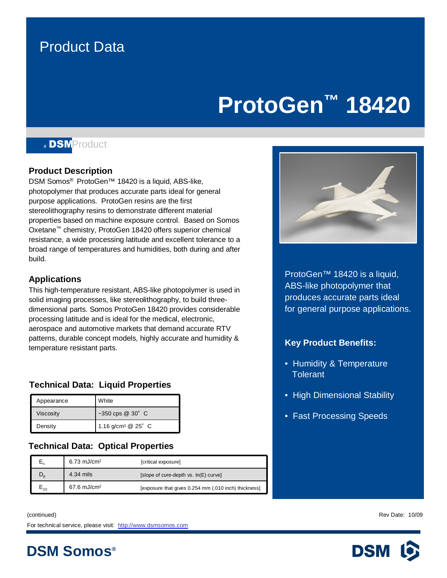### Product Data

## **ProtoGen™ 18420**

### *<sup>a</sup>* DSMProduct

#### **Product Description**

DSM Somos<sup>®</sup> ProtoGen<sup>™</sup> 18420 is a liquid, ABS-like, photopolymer that produces accurate parts ideal for general purpose applications. ProtoGen resins are the first stereolithography resins to demonstrate different material properties based on machine exposure control. Based on Somos Oxetane™ chemistry, ProtoGen 18420 offers superior chemical resistance, a wide processing latitude and excellent tolerance to a broad range of temperatures and humidities, both during and after build.

#### **Applications**

This high-temperature resistant, ABS-like photopolymer is used in solid imaging processes, like stereolithography, to build threedimensional parts. Somos ProtoGen 18420 provides considerable processing latitude and is ideal for the medical, electronic, aerospace and automotive markets that demand accurate RTV patterns, durable concept models, highly accurate and humidity & temperature resistant parts.

#### **Technical Data: Liquid Properties**

| Appearance | White                                   |
|------------|-----------------------------------------|
| Viscosity  | $-350$ cps @ $30^{\circ}$ C             |
| Density    | 1.16 g/cm <sup>3</sup> @ $25^{\circ}$ C |

#### **Technical Data: Optical Properties**

|     | $6.73$ mJ/cm <sup>2</sup> | [critical exposure]                                  |
|-----|---------------------------|------------------------------------------------------|
|     | 4.34 mils                 | [slope of cure-depth vs. In(E) curve]                |
| ⊏10 | 67.6 mJ/cm <sup>2</sup>   | [exposure that gives 0.254 mm (.010 inch) thickness] |

(continued) Rev Date: 10/09 For technical service, please visit: <http://www.dsmsomos.com>

**DSM Somos®**



lsake in the rest of a right<br>ABS-like photopolymer that produces accurate parts ideal for general purpose applications. ProtoGen™ 18420 is a liquid,

#### **Key Product Benefits:**

- Humidity & Temperature **Tolerant**
- High Dimensional Stability
- Fast Processing Speeds